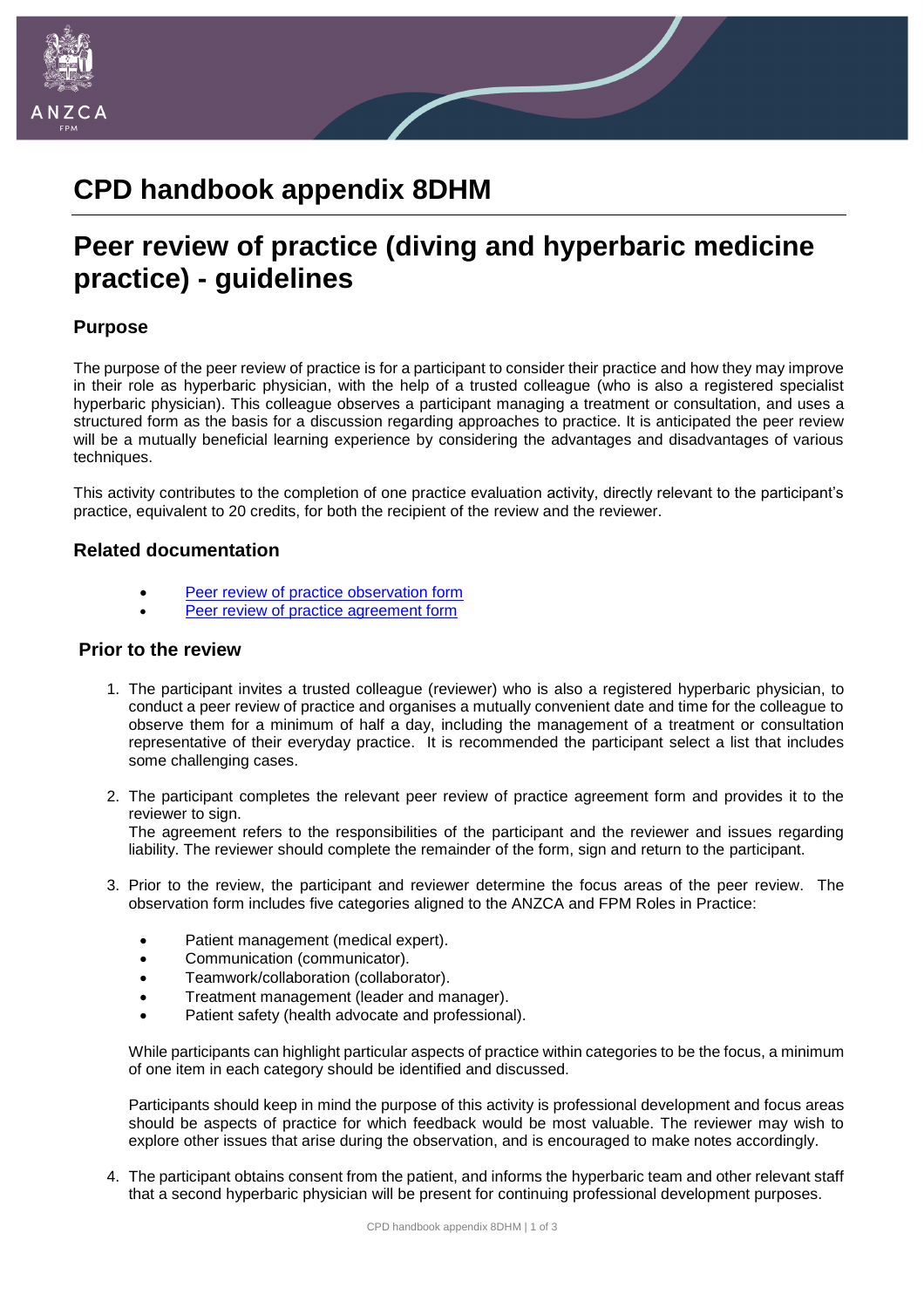

# **CPD handbook appendix 8DHM**

# **Peer review of practice (diving and hyperbaric medicine practice) - guidelines**

### **Purpose**

The purpose of the peer review of practice is for a participant to consider their practice and how they may improve in their role as hyperbaric physician, with the help of a trusted colleague (who is also a registered specialist hyperbaric physician). This colleague observes a participant managing a treatment or consultation, and uses a structured form as the basis for a discussion regarding approaches to practice. It is anticipated the peer review will be a mutually beneficial learning experience by considering the advantages and disadvantages of various techniques.

This activity contributes to the completion of one practice evaluation activity, directly relevant to the participant's practice, equivalent to 20 credits, for both the recipient of the review and the reviewer.

#### **Related documentation**

- [Peer review of practice observation form](http://www.anzca.edu.au/documents/appendix_7dhm_peer_review_observation_form.pdf)
- [Peer review of practice agreement form](http://www.anzca.edu.au/documents/appendix_9_peer_review_of_practice_agreement.pdf)

#### **Prior to the review**

- 1. The participant invites a trusted colleague (reviewer) who is also a registered hyperbaric physician, to conduct a peer review of practice and organises a mutually convenient date and time for the colleague to observe them for a minimum of half a day, including the management of a treatment or consultation representative of their everyday practice. It is recommended the participant select a list that includes some challenging cases.
- 2. The participant completes the relevant peer review of practice agreement form and provides it to the reviewer to sign. The agreement refers to the responsibilities of the participant and the reviewer and issues regarding liability. The reviewer should complete the remainder of the form, sign and return to the participant.
- 3. Prior to the review, the participant and reviewer determine the focus areas of the peer review. The observation form includes five categories aligned to the ANZCA and FPM Roles in Practice:
	- Patient management (medical expert).
	- Communication (communicator).
	- Teamwork/collaboration (collaborator).
	- Treatment management (leader and manager).
	- Patient safety (health advocate and professional).

While participants can highlight particular aspects of practice within categories to be the focus, a minimum of one item in each category should be identified and discussed.

Participants should keep in mind the purpose of this activity is professional development and focus areas should be aspects of practice for which feedback would be most valuable. The reviewer may wish to explore other issues that arise during the observation, and is encouraged to make notes accordingly.

4. The participant obtains consent from the patient, and informs the hyperbaric team and other relevant staff that a second hyperbaric physician will be present for continuing professional development purposes.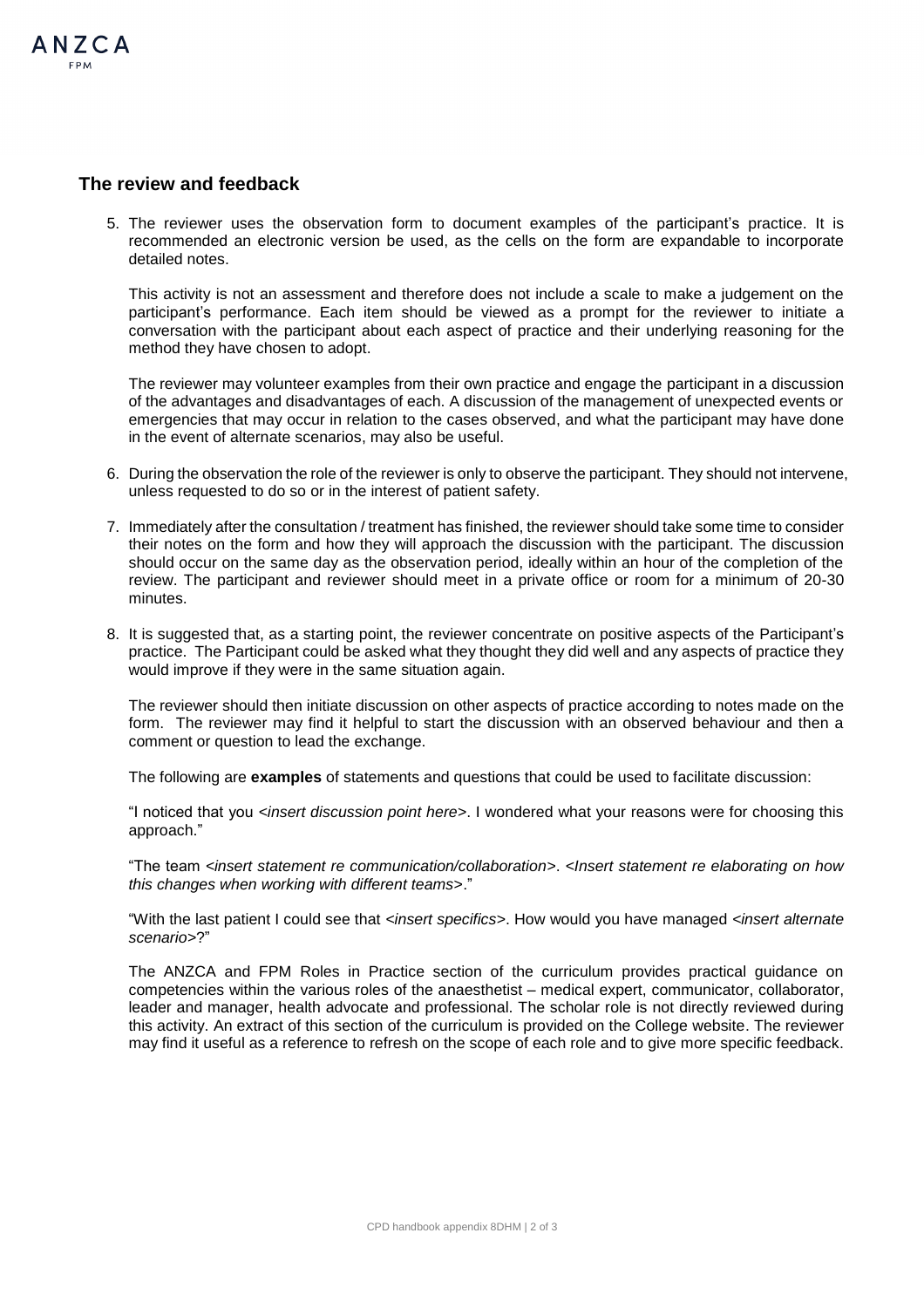## **The review and feedback**

 $A N 7 C A$ 

5. The reviewer uses the observation form to document examples of the participant's practice. It is recommended an electronic version be used, as the cells on the form are expandable to incorporate detailed notes.

This activity is not an assessment and therefore does not include a scale to make a judgement on the participant's performance. Each item should be viewed as a prompt for the reviewer to initiate a conversation with the participant about each aspect of practice and their underlying reasoning for the method they have chosen to adopt.

The reviewer may volunteer examples from their own practice and engage the participant in a discussion of the advantages and disadvantages of each. A discussion of the management of unexpected events or emergencies that may occur in relation to the cases observed, and what the participant may have done in the event of alternate scenarios, may also be useful.

- 6. During the observation the role of the reviewer is only to observe the participant. They should not intervene, unless requested to do so or in the interest of patient safety.
- 7. Immediately after the consultation / treatment has finished, the reviewer should take some time to consider their notes on the form and how they will approach the discussion with the participant. The discussion should occur on the same day as the observation period, ideally within an hour of the completion of the review. The participant and reviewer should meet in a private office or room for a minimum of 20-30 minutes.
- 8. It is suggested that, as a starting point, the reviewer concentrate on positive aspects of the Participant's practice. The Participant could be asked what they thought they did well and any aspects of practice they would improve if they were in the same situation again.

The reviewer should then initiate discussion on other aspects of practice according to notes made on the form. The reviewer may find it helpful to start the discussion with an observed behaviour and then a comment or question to lead the exchange.

The following are **examples** of statements and questions that could be used to facilitate discussion:

"I noticed that you *<insert discussion point here*>. I wondered what your reasons were for choosing this approach."

"The team *<insert statement re communication/collaboration>*. *<Insert statement re elaborating on how this changes when working with different teams>*."

"With the last patient I could see that *<insert specifics>*. How would you have managed *<insert alternate scenario>*?"

The ANZCA and FPM Roles in Practice section of the curriculum provides practical guidance on competencies within the various roles of the anaesthetist – medical expert, communicator, collaborator, leader and manager, health advocate and professional. The scholar role is not directly reviewed during this activity. An extract of this section of the curriculum is provided on the College website. The reviewer may find it useful as a reference to refresh on the scope of each role and to give more specific feedback.